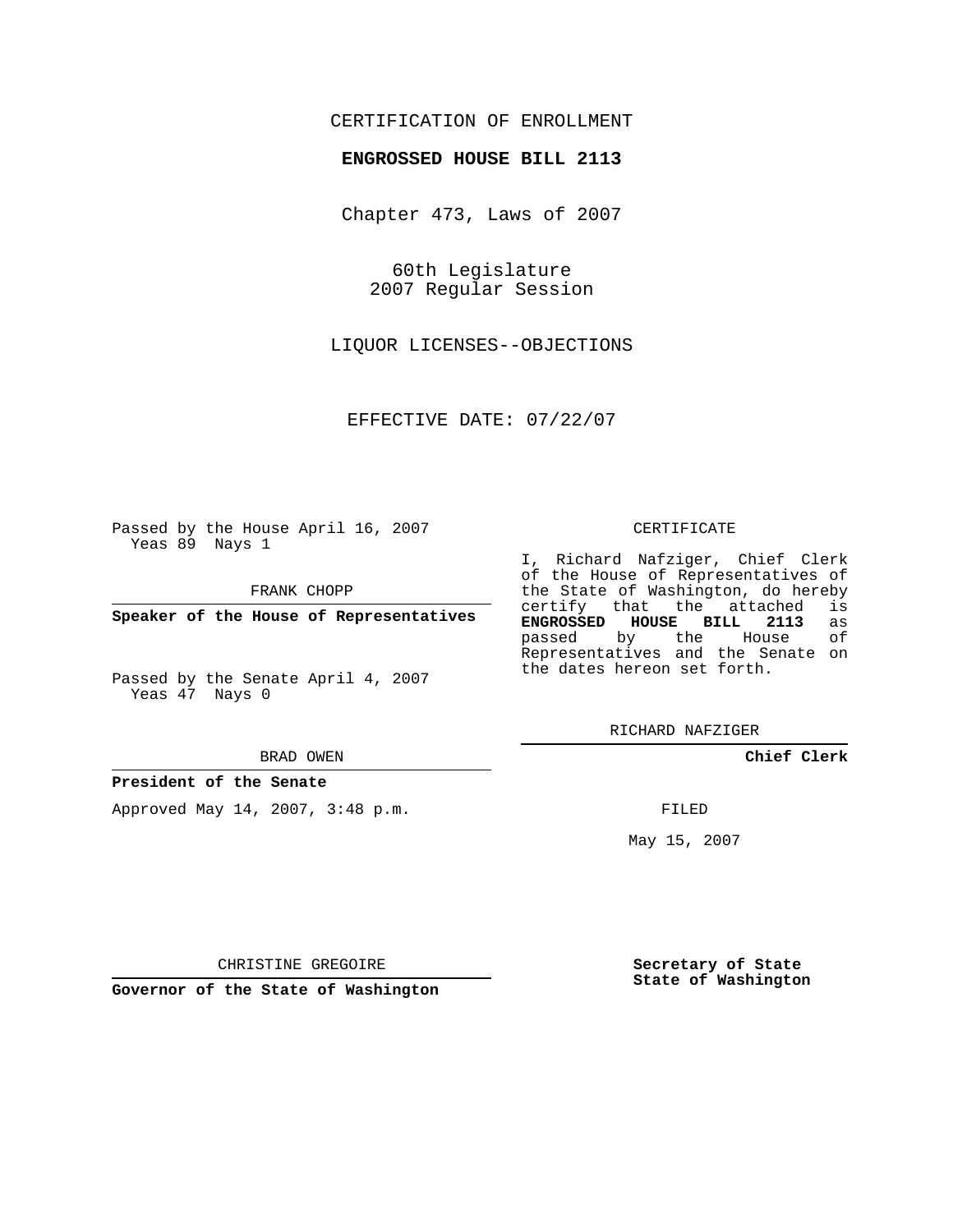# CERTIFICATION OF ENROLLMENT

### **ENGROSSED HOUSE BILL 2113**

Chapter 473, Laws of 2007

60th Legislature 2007 Regular Session

LIQUOR LICENSES--OBJECTIONS

EFFECTIVE DATE: 07/22/07

Passed by the House April 16, 2007 Yeas 89 Nays 1

FRANK CHOPP

**Speaker of the House of Representatives**

Passed by the Senate April 4, 2007 Yeas 47 Nays 0

#### BRAD OWEN

## **President of the Senate**

Approved May 14, 2007, 3:48 p.m.

#### CERTIFICATE

I, Richard Nafziger, Chief Clerk of the House of Representatives of the State of Washington, do hereby<br>certify that the attached is certify that the attached **ENGROSSED HOUSE BILL 2113** as passed by the House Representatives and the Senate on the dates hereon set forth.

RICHARD NAFZIGER

**Chief Clerk**

FILED

May 15, 2007

**Secretary of State State of Washington**

CHRISTINE GREGOIRE

**Governor of the State of Washington**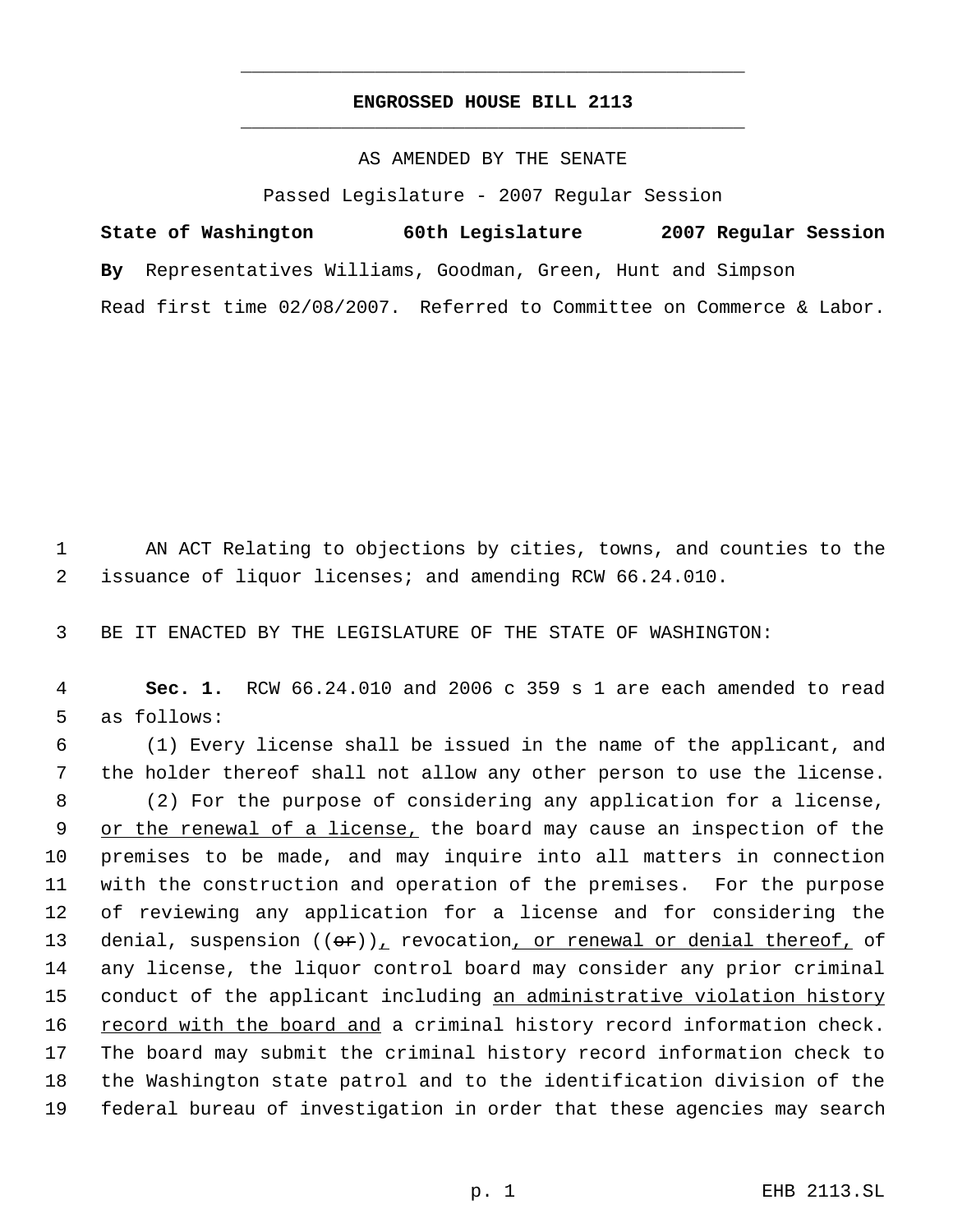# **ENGROSSED HOUSE BILL 2113** \_\_\_\_\_\_\_\_\_\_\_\_\_\_\_\_\_\_\_\_\_\_\_\_\_\_\_\_\_\_\_\_\_\_\_\_\_\_\_\_\_\_\_\_\_

\_\_\_\_\_\_\_\_\_\_\_\_\_\_\_\_\_\_\_\_\_\_\_\_\_\_\_\_\_\_\_\_\_\_\_\_\_\_\_\_\_\_\_\_\_

### AS AMENDED BY THE SENATE

Passed Legislature - 2007 Regular Session

**State of Washington 60th Legislature 2007 Regular Session By** Representatives Williams, Goodman, Green, Hunt and Simpson Read first time 02/08/2007. Referred to Committee on Commerce & Labor.

 1 AN ACT Relating to objections by cities, towns, and counties to the 2 issuance of liquor licenses; and amending RCW 66.24.010.

3 BE IT ENACTED BY THE LEGISLATURE OF THE STATE OF WASHINGTON:

 4 **Sec. 1.** RCW 66.24.010 and 2006 c 359 s 1 are each amended to read 5 as follows:

 (1) Every license shall be issued in the name of the applicant, and the holder thereof shall not allow any other person to use the license. (2) For the purpose of considering any application for a license, 9 or the renewal of a license, the board may cause an inspection of the premises to be made, and may inquire into all matters in connection with the construction and operation of the premises. For the purpose of reviewing any application for a license and for considering the 13 denial, suspension  $((\theta \oplus f))_T$  revocation, or renewal or denial thereof, of any license, the liquor control board may consider any prior criminal 15 conduct of the applicant including an administrative violation history 16 record with the board and a criminal history record information check. The board may submit the criminal history record information check to the Washington state patrol and to the identification division of the federal bureau of investigation in order that these agencies may search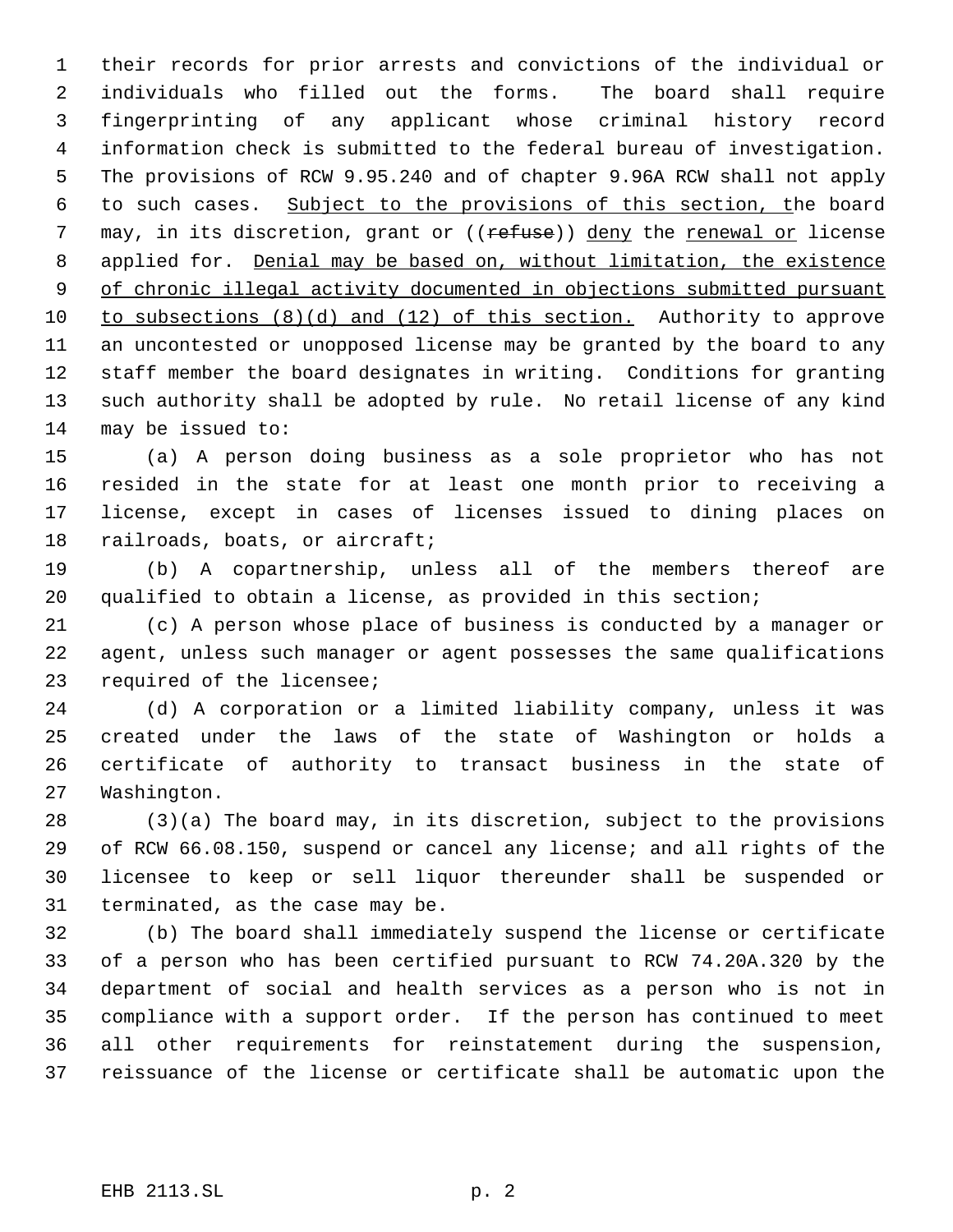their records for prior arrests and convictions of the individual or individuals who filled out the forms. The board shall require fingerprinting of any applicant whose criminal history record information check is submitted to the federal bureau of investigation. The provisions of RCW 9.95.240 and of chapter 9.96A RCW shall not apply to such cases. Subject to the provisions of this section, the board 7 may, in its discretion, grant or ((refuse)) deny the renewal or license applied for. Denial may be based on, without limitation, the existence 9 of chronic illegal activity documented in objections submitted pursuant to subsections (8)(d) and (12) of this section. Authority to approve an uncontested or unopposed license may be granted by the board to any staff member the board designates in writing. Conditions for granting such authority shall be adopted by rule. No retail license of any kind may be issued to:

 (a) A person doing business as a sole proprietor who has not resided in the state for at least one month prior to receiving a license, except in cases of licenses issued to dining places on railroads, boats, or aircraft;

 (b) A copartnership, unless all of the members thereof are qualified to obtain a license, as provided in this section;

 (c) A person whose place of business is conducted by a manager or agent, unless such manager or agent possesses the same qualifications required of the licensee;

 (d) A corporation or a limited liability company, unless it was created under the laws of the state of Washington or holds a certificate of authority to transact business in the state of Washington.

 (3)(a) The board may, in its discretion, subject to the provisions of RCW 66.08.150, suspend or cancel any license; and all rights of the licensee to keep or sell liquor thereunder shall be suspended or terminated, as the case may be.

 (b) The board shall immediately suspend the license or certificate of a person who has been certified pursuant to RCW 74.20A.320 by the department of social and health services as a person who is not in compliance with a support order. If the person has continued to meet all other requirements for reinstatement during the suspension, reissuance of the license or certificate shall be automatic upon the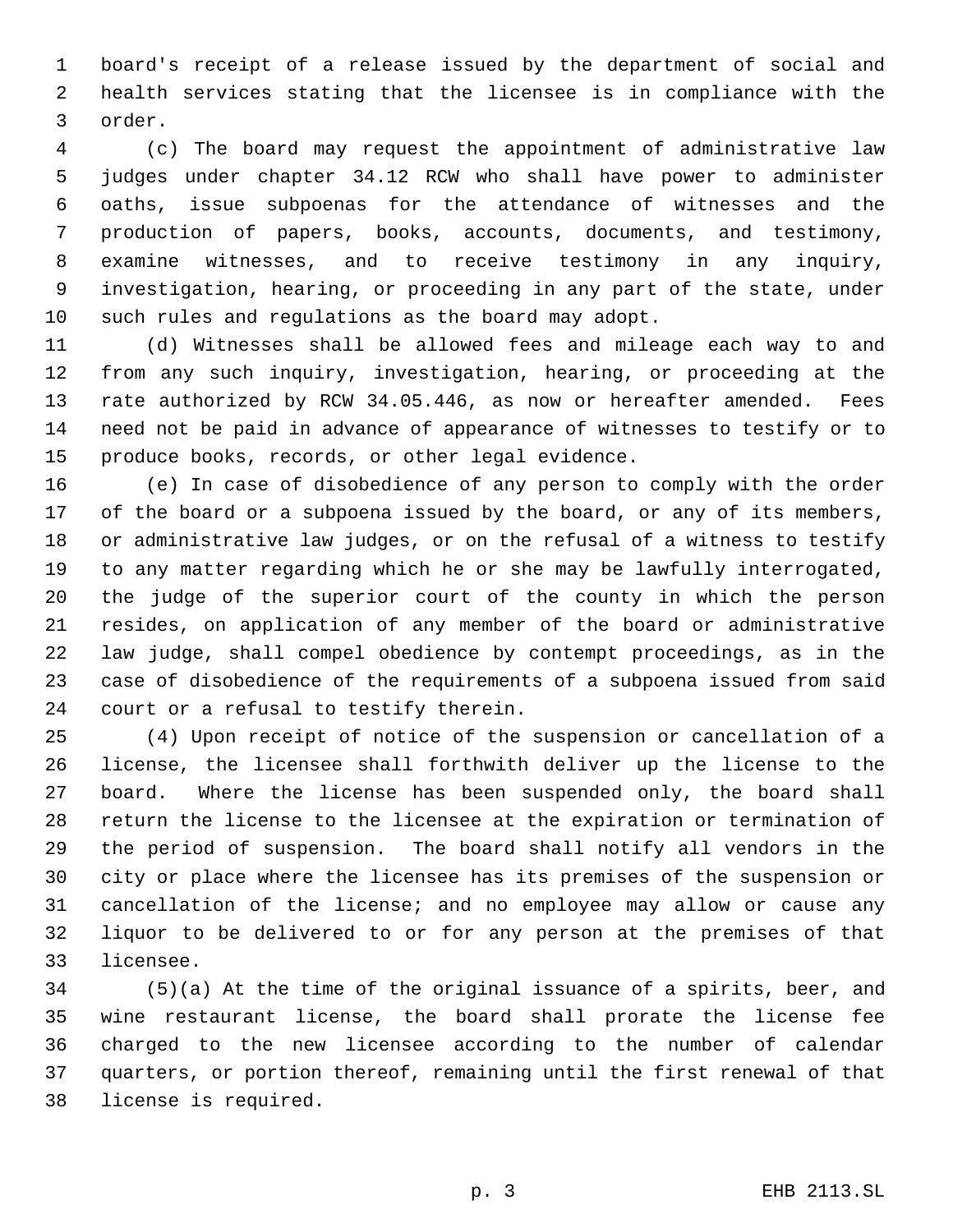board's receipt of a release issued by the department of social and health services stating that the licensee is in compliance with the order.

 (c) The board may request the appointment of administrative law judges under chapter 34.12 RCW who shall have power to administer oaths, issue subpoenas for the attendance of witnesses and the production of papers, books, accounts, documents, and testimony, examine witnesses, and to receive testimony in any inquiry, investigation, hearing, or proceeding in any part of the state, under such rules and regulations as the board may adopt.

 (d) Witnesses shall be allowed fees and mileage each way to and from any such inquiry, investigation, hearing, or proceeding at the rate authorized by RCW 34.05.446, as now or hereafter amended. Fees need not be paid in advance of appearance of witnesses to testify or to produce books, records, or other legal evidence.

 (e) In case of disobedience of any person to comply with the order of the board or a subpoena issued by the board, or any of its members, or administrative law judges, or on the refusal of a witness to testify to any matter regarding which he or she may be lawfully interrogated, the judge of the superior court of the county in which the person resides, on application of any member of the board or administrative law judge, shall compel obedience by contempt proceedings, as in the case of disobedience of the requirements of a subpoena issued from said court or a refusal to testify therein.

 (4) Upon receipt of notice of the suspension or cancellation of a license, the licensee shall forthwith deliver up the license to the board. Where the license has been suspended only, the board shall return the license to the licensee at the expiration or termination of the period of suspension. The board shall notify all vendors in the city or place where the licensee has its premises of the suspension or cancellation of the license; and no employee may allow or cause any liquor to be delivered to or for any person at the premises of that licensee.

 (5)(a) At the time of the original issuance of a spirits, beer, and wine restaurant license, the board shall prorate the license fee charged to the new licensee according to the number of calendar quarters, or portion thereof, remaining until the first renewal of that license is required.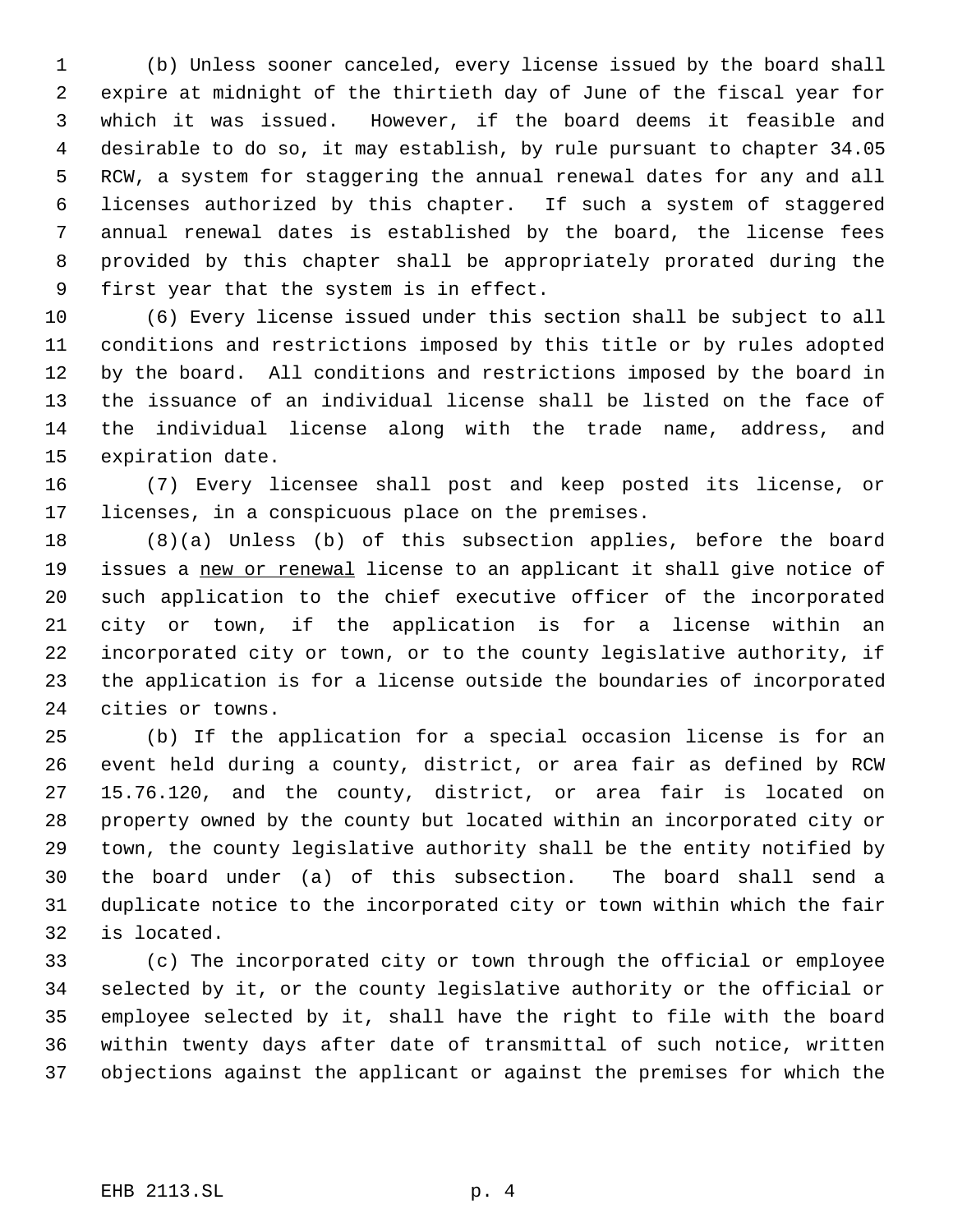(b) Unless sooner canceled, every license issued by the board shall expire at midnight of the thirtieth day of June of the fiscal year for which it was issued. However, if the board deems it feasible and desirable to do so, it may establish, by rule pursuant to chapter 34.05 RCW, a system for staggering the annual renewal dates for any and all licenses authorized by this chapter. If such a system of staggered annual renewal dates is established by the board, the license fees provided by this chapter shall be appropriately prorated during the first year that the system is in effect.

 (6) Every license issued under this section shall be subject to all conditions and restrictions imposed by this title or by rules adopted by the board. All conditions and restrictions imposed by the board in the issuance of an individual license shall be listed on the face of the individual license along with the trade name, address, and expiration date.

 (7) Every licensee shall post and keep posted its license, or licenses, in a conspicuous place on the premises.

 (8)(a) Unless (b) of this subsection applies, before the board 19 issues a new or renewal license to an applicant it shall give notice of such application to the chief executive officer of the incorporated city or town, if the application is for a license within an incorporated city or town, or to the county legislative authority, if the application is for a license outside the boundaries of incorporated cities or towns.

 (b) If the application for a special occasion license is for an event held during a county, district, or area fair as defined by RCW 15.76.120, and the county, district, or area fair is located on property owned by the county but located within an incorporated city or town, the county legislative authority shall be the entity notified by the board under (a) of this subsection. The board shall send a duplicate notice to the incorporated city or town within which the fair is located.

 (c) The incorporated city or town through the official or employee selected by it, or the county legislative authority or the official or employee selected by it, shall have the right to file with the board within twenty days after date of transmittal of such notice, written objections against the applicant or against the premises for which the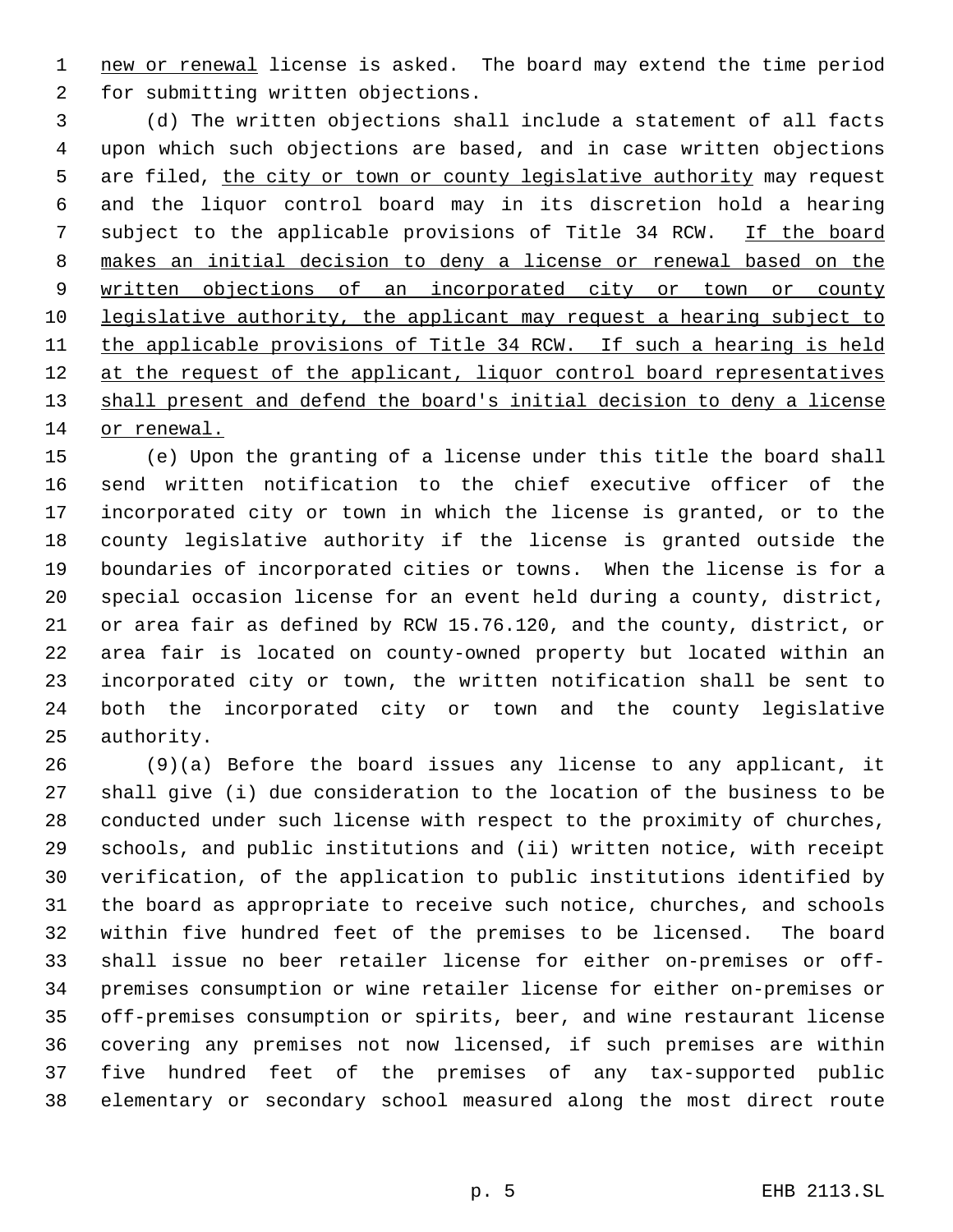1 new or renewal license is asked. The board may extend the time period for submitting written objections.

 (d) The written objections shall include a statement of all facts upon which such objections are based, and in case written objections 5 are filed, the city or town or county legislative authority may request and the liquor control board may in its discretion hold a hearing 7 subject to the applicable provisions of Title 34 RCW. If the board makes an initial decision to deny a license or renewal based on the 9 written objections of an incorporated city or town or county 10 legislative authority, the applicant may request a hearing subject to the applicable provisions of Title 34 RCW. If such a hearing is held 12 at the request of the applicant, liquor control board representatives 13 shall present and defend the board's initial decision to deny a license or renewal.

 (e) Upon the granting of a license under this title the board shall send written notification to the chief executive officer of the incorporated city or town in which the license is granted, or to the county legislative authority if the license is granted outside the boundaries of incorporated cities or towns. When the license is for a special occasion license for an event held during a county, district, or area fair as defined by RCW 15.76.120, and the county, district, or area fair is located on county-owned property but located within an incorporated city or town, the written notification shall be sent to both the incorporated city or town and the county legislative authority.

 (9)(a) Before the board issues any license to any applicant, it shall give (i) due consideration to the location of the business to be conducted under such license with respect to the proximity of churches, schools, and public institutions and (ii) written notice, with receipt verification, of the application to public institutions identified by the board as appropriate to receive such notice, churches, and schools within five hundred feet of the premises to be licensed. The board shall issue no beer retailer license for either on-premises or off- premises consumption or wine retailer license for either on-premises or off-premises consumption or spirits, beer, and wine restaurant license covering any premises not now licensed, if such premises are within five hundred feet of the premises of any tax-supported public elementary or secondary school measured along the most direct route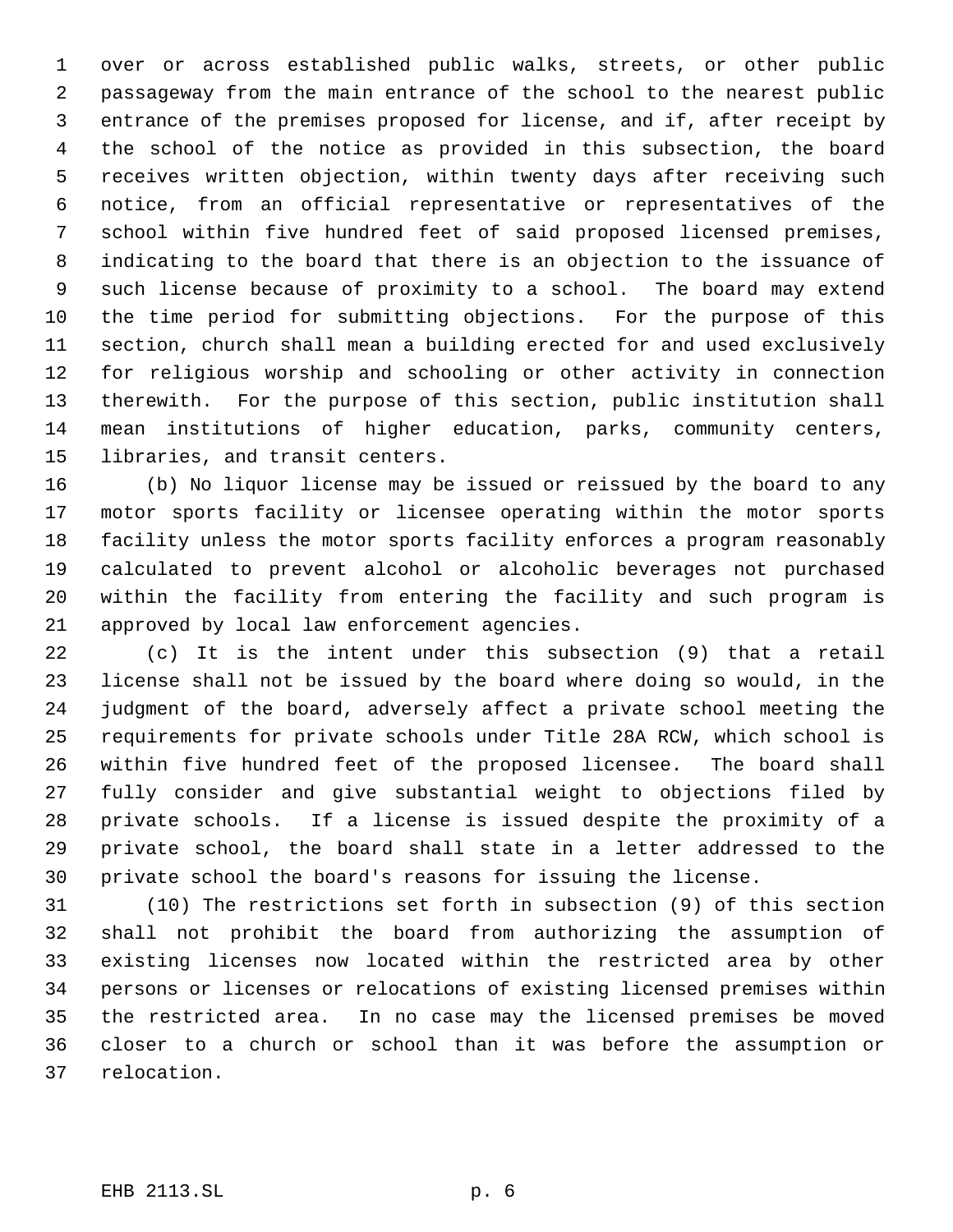over or across established public walks, streets, or other public passageway from the main entrance of the school to the nearest public entrance of the premises proposed for license, and if, after receipt by the school of the notice as provided in this subsection, the board receives written objection, within twenty days after receiving such notice, from an official representative or representatives of the school within five hundred feet of said proposed licensed premises, indicating to the board that there is an objection to the issuance of such license because of proximity to a school. The board may extend the time period for submitting objections. For the purpose of this section, church shall mean a building erected for and used exclusively for religious worship and schooling or other activity in connection therewith. For the purpose of this section, public institution shall mean institutions of higher education, parks, community centers, libraries, and transit centers.

 (b) No liquor license may be issued or reissued by the board to any motor sports facility or licensee operating within the motor sports facility unless the motor sports facility enforces a program reasonably calculated to prevent alcohol or alcoholic beverages not purchased within the facility from entering the facility and such program is approved by local law enforcement agencies.

 (c) It is the intent under this subsection (9) that a retail license shall not be issued by the board where doing so would, in the judgment of the board, adversely affect a private school meeting the requirements for private schools under Title 28A RCW, which school is within five hundred feet of the proposed licensee. The board shall fully consider and give substantial weight to objections filed by private schools. If a license is issued despite the proximity of a private school, the board shall state in a letter addressed to the private school the board's reasons for issuing the license.

 (10) The restrictions set forth in subsection (9) of this section shall not prohibit the board from authorizing the assumption of existing licenses now located within the restricted area by other persons or licenses or relocations of existing licensed premises within the restricted area. In no case may the licensed premises be moved closer to a church or school than it was before the assumption or relocation.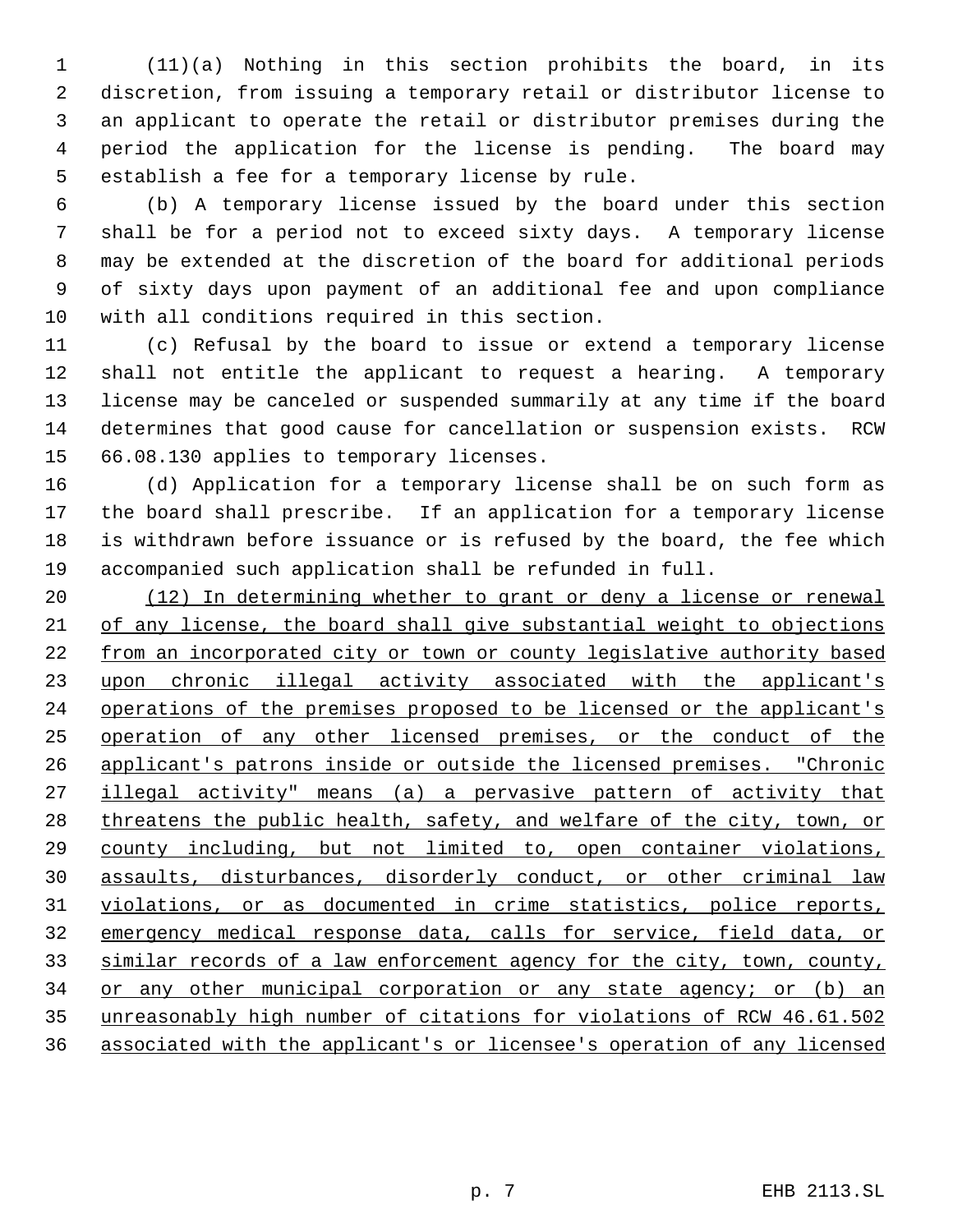(11)(a) Nothing in this section prohibits the board, in its discretion, from issuing a temporary retail or distributor license to an applicant to operate the retail or distributor premises during the period the application for the license is pending. The board may establish a fee for a temporary license by rule.

 (b) A temporary license issued by the board under this section shall be for a period not to exceed sixty days. A temporary license may be extended at the discretion of the board for additional periods of sixty days upon payment of an additional fee and upon compliance with all conditions required in this section.

 (c) Refusal by the board to issue or extend a temporary license shall not entitle the applicant to request a hearing. A temporary license may be canceled or suspended summarily at any time if the board determines that good cause for cancellation or suspension exists. RCW 66.08.130 applies to temporary licenses.

 (d) Application for a temporary license shall be on such form as the board shall prescribe. If an application for a temporary license is withdrawn before issuance or is refused by the board, the fee which accompanied such application shall be refunded in full.

 (12) In determining whether to grant or deny a license or renewal of any license, the board shall give substantial weight to objections 22 from an incorporated city or town or county legislative authority based upon chronic illegal activity associated with the applicant's 24 operations of the premises proposed to be licensed or the applicant's operation of any other licensed premises, or the conduct of the applicant's patrons inside or outside the licensed premises. "Chronic 27 illegal activity" means (a) a pervasive pattern of activity that 28 threatens the public health, safety, and welfare of the city, town, or county including, but not limited to, open container violations, assaults, disturbances, disorderly conduct, or other criminal law violations, or as documented in crime statistics, police reports, emergency medical response data, calls for service, field data, or similar records of a law enforcement agency for the city, town, county, 34 or any other municipal corporation or any state agency; or (b) an unreasonably high number of citations for violations of RCW 46.61.502 associated with the applicant's or licensee's operation of any licensed